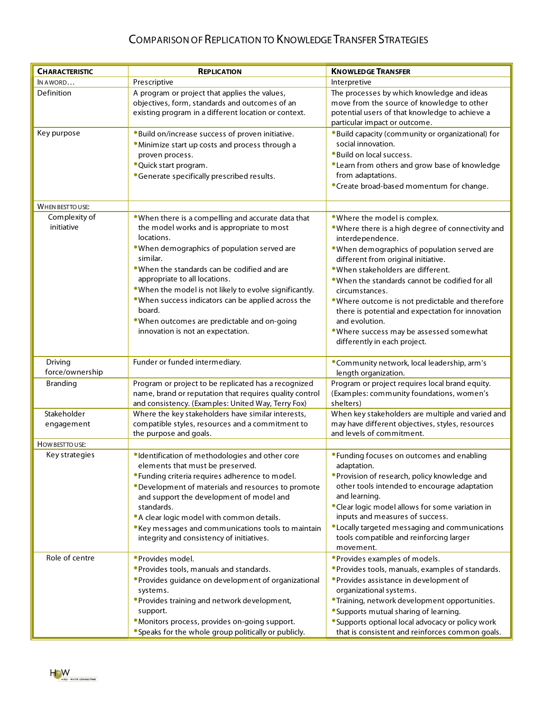## COMPARISON OF REPLICATION TO KNOWLEDGE TRANSFER STRATEGIES

| <b>CHARACTERISTIC</b>       | <b>REPLICATION</b>                                                                                                                                                                                        | <b>KNOWLEDGE TRANSFER</b>                                                                                                                                                                                        |
|-----------------------------|-----------------------------------------------------------------------------------------------------------------------------------------------------------------------------------------------------------|------------------------------------------------------------------------------------------------------------------------------------------------------------------------------------------------------------------|
| IN AWORD                    | Prescriptive                                                                                                                                                                                              | Interpretive                                                                                                                                                                                                     |
| Definition                  | A program or project that applies the values,<br>objectives, form, standards and outcomes of an<br>existing program in a different location or context.                                                   | The processes by which knowledge and ideas<br>move from the source of knowledge to other<br>potential users of that knowledge to achieve a<br>particular impact or outcome.                                      |
| Key purpose                 | . Build on/increase success of proven initiative.<br>. Minimize start up costs and process through a<br>proven process.                                                                                   | •Build capacity (community or organizational) for<br>social innovation.<br>. Build on local success.                                                                                                             |
|                             | • Quick start program.<br>• Generate specifically prescribed results.                                                                                                                                     | •Learn from others and grow base of knowledge<br>from adaptations.<br>•Create broad-based momentum for change.                                                                                                   |
| WHEN BEST TO USE:           |                                                                                                                                                                                                           |                                                                                                                                                                                                                  |
| Complexity of<br>initiative | . When there is a compelling and accurate data that<br>the model works and is appropriate to most<br>locations.<br>. When demographics of population served are<br>similar.                               | . Where the model is complex.<br>. Where there is a high degree of connectivity and<br>interdependence.<br>. When demographics of population served are<br>different from original initiative.                   |
|                             | • When the standards can be codified and are<br>appropriate to all locations.<br>. When the model is not likely to evolve significantly.<br>. When success indicators can be applied across the<br>board. | . When stakeholders are different.<br>. When the standards cannot be codified for all<br>circumstances.<br>. Where outcome is not predictable and therefore<br>there is potential and expectation for innovation |
|                             | . When outcomes are predictable and on-going<br>innovation is not an expectation.                                                                                                                         | and evolution.<br>. Where success may be assessed somewhat<br>differently in each project.                                                                                                                       |
| Driving<br>force/ownership  | Funder or funded intermediary.                                                                                                                                                                            | •Community network, local leadership, arm's<br>length organization.                                                                                                                                              |
| <b>Branding</b>             | Program or project to be replicated has a recognized<br>name, brand or reputation that requires quality control<br>and consistency. (Examples: United Way, Terry Fox)                                     | Program or project requires local brand equity.<br>(Examples: community foundations, women's<br>shelters)                                                                                                        |
| Stakeholder<br>engagement   | Where the key stakeholders have similar interests,<br>compatible styles, resources and a commitment to<br>the purpose and goals.                                                                          | When key stakeholders are multiple and varied and<br>may have different objectives, styles, resources<br>and levels of commitment.                                                                               |
| HOW BEST TO USE:            |                                                                                                                                                                                                           |                                                                                                                                                                                                                  |
| Key strategies              | ·Identification of methodologies and other core<br>elements that must be preserved.                                                                                                                       | • Funding focuses on outcomes and enabling<br>adaptation.                                                                                                                                                        |
|                             | • Funding criteria requires adherence to model.<br>• Development of materials and resources to promote<br>and support the development of model and<br>standards.                                          | <b>• Provision of research, policy knowledge and</b><br>other tools intended to encourage adaptation<br>and learning.<br>• Clear logic model allows for some variation in                                        |
|                             | • A clear logic model with common details.<br>• Key messages and communications tools to maintain<br>integrity and consistency of initiatives.                                                            | inputs and measures of success.<br><b>•Locally targeted messaging and communications</b><br>tools compatible and reinforcing larger<br>movement.                                                                 |
| Role of centre              | • Provides model.                                                                                                                                                                                         | • Provides examples of models.                                                                                                                                                                                   |
|                             | • Provides tools, manuals and standards.<br>• Provides guidance on development of organizational<br>systems.                                                                                              | • Provides tools, manuals, examples of standards.<br>• Provides assistance in development of<br>organizational systems.                                                                                          |
|                             | • Provides training and network development,<br>support.                                                                                                                                                  | <b>•Training, network development opportunities.</b><br>• Supports mutual sharing of learning.                                                                                                                   |
|                             | · Monitors process, provides on-going support.                                                                                                                                                            | • Supports optional local advocacy or policy work                                                                                                                                                                |
|                             | • Speaks for the whole group politically or publicly.                                                                                                                                                     | that is consistent and reinforces common goals.                                                                                                                                                                  |